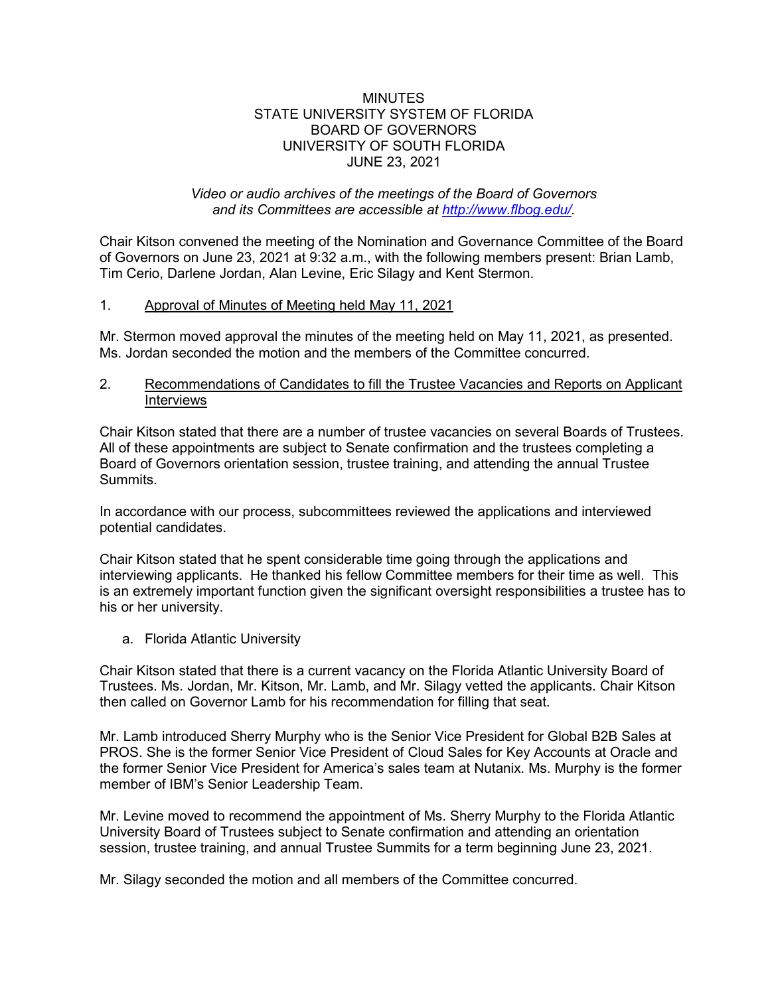## MINUTES STATE UNIVERSITY SYSTEM OF FLORIDA BOARD OF GOVERNORS UNIVERSITY OF SOUTH FLORIDA JUNE 23, 2021

## *Video or audio archives of the meetings of the Board of Governors and its Committees are accessible at [http://www.flbog.edu/.](http://www.flbog.edu/)*

Chair Kitson convened the meeting of the Nomination and Governance Committee of the Board of Governors on June 23, 2021 at 9:32 a.m., with the following members present: Brian Lamb, Tim Cerio, Darlene Jordan, Alan Levine, Eric Silagy and Kent Stermon.

## 1. Approval of Minutes of Meeting held May 11, 2021

Mr. Stermon moved approval the minutes of the meeting held on May 11, 2021, as presented. Ms. Jordan seconded the motion and the members of the Committee concurred.

## 2. Recommendations of Candidates to fill the Trustee Vacancies and Reports on Applicant Interviews

Chair Kitson stated that there are a number of trustee vacancies on several Boards of Trustees. All of these appointments are subject to Senate confirmation and the trustees completing a Board of Governors orientation session, trustee training, and attending the annual Trustee **Summits** 

In accordance with our process, subcommittees reviewed the applications and interviewed potential candidates.

Chair Kitson stated that he spent considerable time going through the applications and interviewing applicants. He thanked his fellow Committee members for their time as well. This is an extremely important function given the significant oversight responsibilities a trustee has to his or her university.

a. Florida Atlantic University

Chair Kitson stated that there is a current vacancy on the Florida Atlantic University Board of Trustees. Ms. Jordan, Mr. Kitson, Mr. Lamb, and Mr. Silagy vetted the applicants. Chair Kitson then called on Governor Lamb for his recommendation for filling that seat.

Mr. Lamb introduced Sherry Murphy who is the Senior Vice President for Global B2B Sales at PROS. She is the former Senior Vice President of Cloud Sales for Key Accounts at Oracle and the former Senior Vice President for America's sales team at Nutanix. Ms. Murphy is the former member of IBM's Senior Leadership Team.

Mr. Levine moved to recommend the appointment of Ms. Sherry Murphy to the Florida Atlantic University Board of Trustees subject to Senate confirmation and attending an orientation session, trustee training, and annual Trustee Summits for a term beginning June 23, 2021.

Mr. Silagy seconded the motion and all members of the Committee concurred.